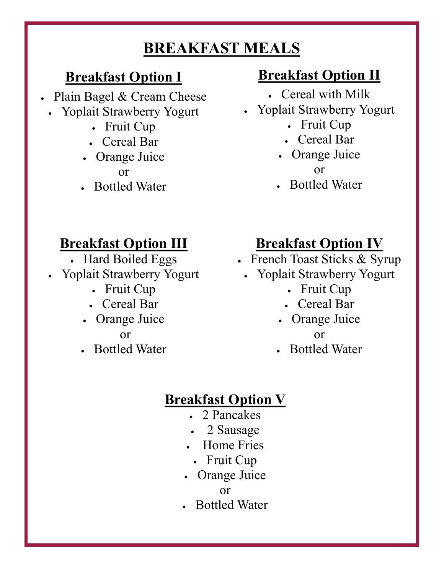# **BREAKFAST MEALS**

#### **Breakfast Option I**

- Plain Bagel & Cream Cheese
- Yoplait Strawberry Yogurt
	- Fruit Cup
	- Cereal Bar
	- Orange Juice or
	- Bottled Water

### **Breakfast Option II**

- Cereal with Milk
- Yoplait Strawberry Yogurt
	- Fruit Cup
	- Cereal Bar
	- Orange Juice or
	- Bottled Water

# **Breakfast Option III**

- Hard Boiled Eggs
- Yoplait Strawberry Yogurt
	- Fruit Cup
	- Cereal Bar
	- Orange Juice or
	- Bottled Water

# **Breakfast Option IV**

- French Toast Sticks & Syrup
	- Yoplait Strawberry Yogurt
		- Fruit Cup
		- Cereal Bar
		- Orange Juice or
			-
		- Bottled Water

#### **Breakfast Option V**

- . 2 Pancakes
- 2 Sausage
- Home Fries
	- Fruit Cup
- Orange Juice

• Bottled Water

or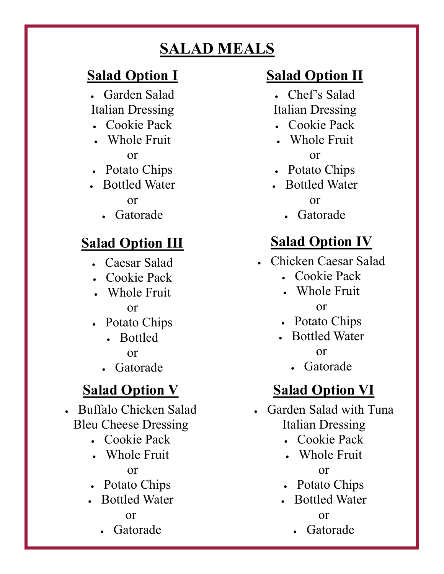# **SALAD MEALS**

### **Salad Option I**

- Garden Salad Italian Dressing
- Cookie Pack
- Whole Fruit or
- Potato Chips
- Bottled Water or
	- Gatorade

# **Salad Option III**

- Caesar Salad
- Cookie Pack
- Whole Fruit or
- Potato Chips
	- Bottled or
	- Gatorade

# **Salad Option V**

 Buffalo Chicken Salad Bleu Cheese Dressing

- Cookie Pack
- Whole Fruit or
- Potato Chips
- Bottled Water or

#### Gatorade

# **Salad Option II**

- Chef's Salad
- Italian Dressing Cookie Pack
- 
- Whole Fruit or
- Potato Chips
- Bottled Water

or

• Gatorade

# **Salad Option IV**

- Chicken Caesar Salad
	- Cookie Pack
	- Whole Fruit or
	- Potato Chips
	- Bottled Water or
		- Gatorade

# **Salad Option VI**

- Garden Salad with Tuna Italian Dressing
	- Cookie Pack
	- Whole Fruit or
	- Potato Chips
	- Bottled Water or
		- Gatorade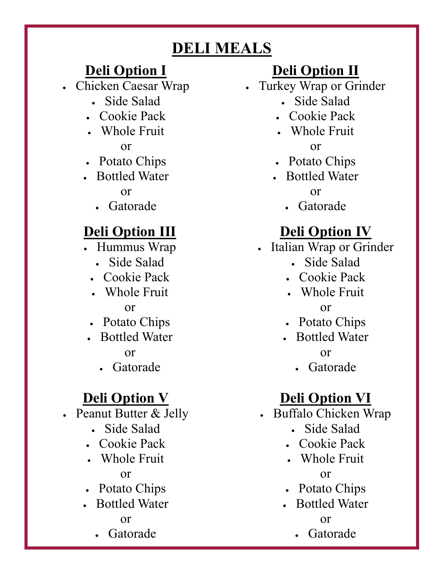# **DELI MEALS**

## **Deli Option I**

Chicken Caesar Wrap

- Side Salad
- Cookie Pack
- Whole Fruit or
- Potato Chips
- Bottled Water or
	- Gatorade

### **Deli Option III**

- Hummus Wrap
	- Side Salad
	- Cookie Pack
	- Whole Fruit or
	- Potato Chips
- Bottled Water or
	- Gatorade

# **Deli Option V**

- Peanut Butter & Jelly
	- Side Salad
	- Cookie Pack
	- Whole Fruit or
	- Potato Chips
	- Bottled Water or
		- Gatorade

# **Deli Option II**

- Turkey Wrap or Grinder
	- Side Salad
	- Cookie Pack
	- Whole Fruit

or

- Potato Chips
- Bottled Water or
	- Gatorade

# **Deli Option IV**

- Italian Wrap or Grinder
	- Side Salad
	- Cookie Pack
	- Whole Fruit or
	- Potato Chips
	- Bottled Water or
		- Gatorade

# **Deli Option VI**

- Buffalo Chicken Wrap
	- Side Salad
	- Cookie Pack
	- Whole Fruit or
	- Potato Chips
	- Bottled Water or
		- Gatorade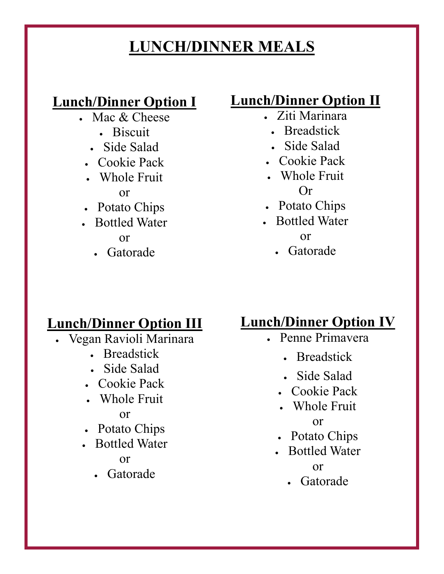# **LUNCH/DINNER MEALS**

### **Lunch/Dinner Option I**

- Mac & Cheese
	- Biscuit
	- Side Salad
	- Cookie Pack
	- Whole Fruit

#### or

- Potato Chips
- Bottled Water or
	- Gatorade

### **Lunch/Dinner Option II**

- Ziti Marinara
- Breadstick
- Side Salad
- Cookie Pack
- Whole Fruit Or
- Potato Chips
- Bottled Water

or

Gatorade

### **Lunch/Dinner Option III**

- Vegan Ravioli Marinara
	- Breadstick
	- Side Salad
	- Cookie Pack
	- Whole Fruit or
	- Potato Chips
	- Bottled Water or
		- Gatorade

### **Lunch/Dinner Option IV**

- Penne Primavera
	- Breadstick
	- Side Salad
	- Cookie Pack
	- Whole Fruit or
	- Potato Chips
	- Bottled Water or
		- Gatorade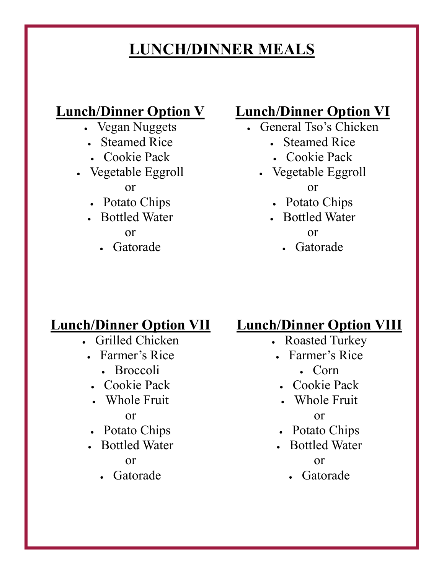# **LUNCH/DINNER MEALS**

### **Lunch/Dinner Option V**

- Vegan Nuggets
- Steamed Rice
- Cookie Pack
- Vegetable Eggroll

#### or

- Potato Chips
- Bottled Water or
	- Gatorade

#### **Lunch/Dinner Option VI**

- General Tso's Chicken
	- Steamed Rice
	- Cookie Pack
	- Vegetable Eggroll or
		- Potato Chips
		- Bottled Water

or

Gatorade

#### **Lunch/Dinner Option VII**

- Grilled Chicken
	- Farmer's Rice
		- Broccoli
	- Cookie Pack
	- Whole Fruit or
	- Potato Chips
	- Bottled Water or
		- Gatorade

#### **Lunch/Dinner Option VIII**

- Roasted Turkey
- Farmer's Rice
	- Corn
- Cookie Pack
- Whole Fruit or
- Potato Chips
- Bottled Water or
	- Gatorade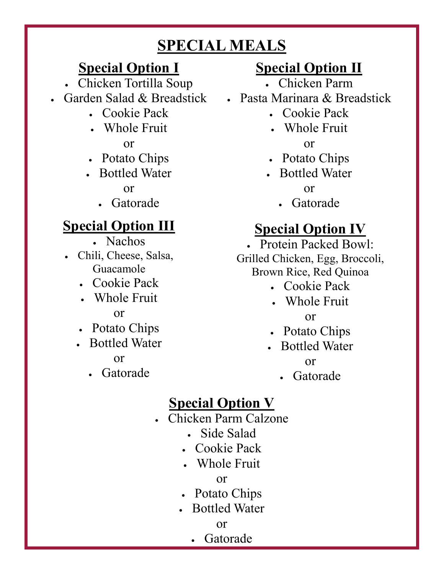# **SPECIAL MEALS**

### **Special Option I**

- Chicken Tortilla Soup
- Garden Salad & Breadstick
	- Cookie Pack
	- Whole Fruit

or

- Potato Chips
- Bottled Water or
	- Gatorade

# **Special Option III**

- Nachos
- Chili, Cheese, Salsa, Guacamole
	- Cookie Pack
	- Whole Fruit or
	- Potato Chips
	- Bottled Water

or

Gatorade

# **Special Option II**

- Chicken Parm
- Pasta Marinara & Breadstick
	- Cookie Pack
	- Whole Fruit

or

- Potato Chips
- Bottled Water

or

Gatorade

# **Special Option IV**

 Protein Packed Bowl: Grilled Chicken, Egg, Broccoli, Brown Rice, Red Quinoa

- Cookie Pack
- Whole Fruit or
- Potato Chips
- Bottled Water

or

Gatorade

# **Special Option V**

- Chicken Parm Calzone
	- Side Salad
	- Cookie Pack
	- Whole Fruit

or

- Potato Chips
- Bottled Water

or

Gatorade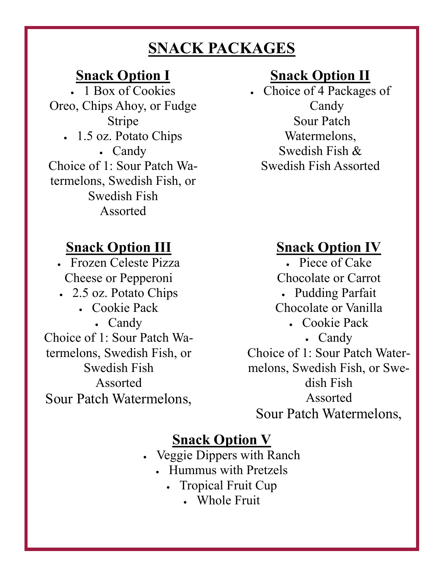# **SNACK PACKAGES**

#### **Snack Option I**

• 1 Box of Cookies Oreo, Chips Ahoy, or Fudge Stripe 1.5 oz. Potato Chips Candy Choice of 1: Sour Patch Watermelons, Swedish Fish, or Swedish Fish Assorted

### **Snack Option III**

 Frozen Celeste Pizza Cheese or Pepperoni

- 2.5 oz. Potato Chips
	- Cookie Pack
- Candy Choice of 1: Sour Patch Watermelons, Swedish Fish, or

Swedish Fish Assorted Sour Patch Watermelons,

# **Snack Option II**

 Choice of 4 Packages of Candy Sour Patch Watermelons, Swedish Fish & Swedish Fish Assorted

### **Snack Option IV**

 Piece of Cake Chocolate or Carrot Pudding Parfait Chocolate or Vanilla Cookie Pack Candy Choice of 1: Sour Patch Watermelons, Swedish Fish, or Swedish Fish Assorted Sour Patch Watermelons,

### **Snack Option V**

- Veggie Dippers with Ranch
	- Hummus with Pretzels
		- Tropical Fruit Cup
			- Whole Fruit